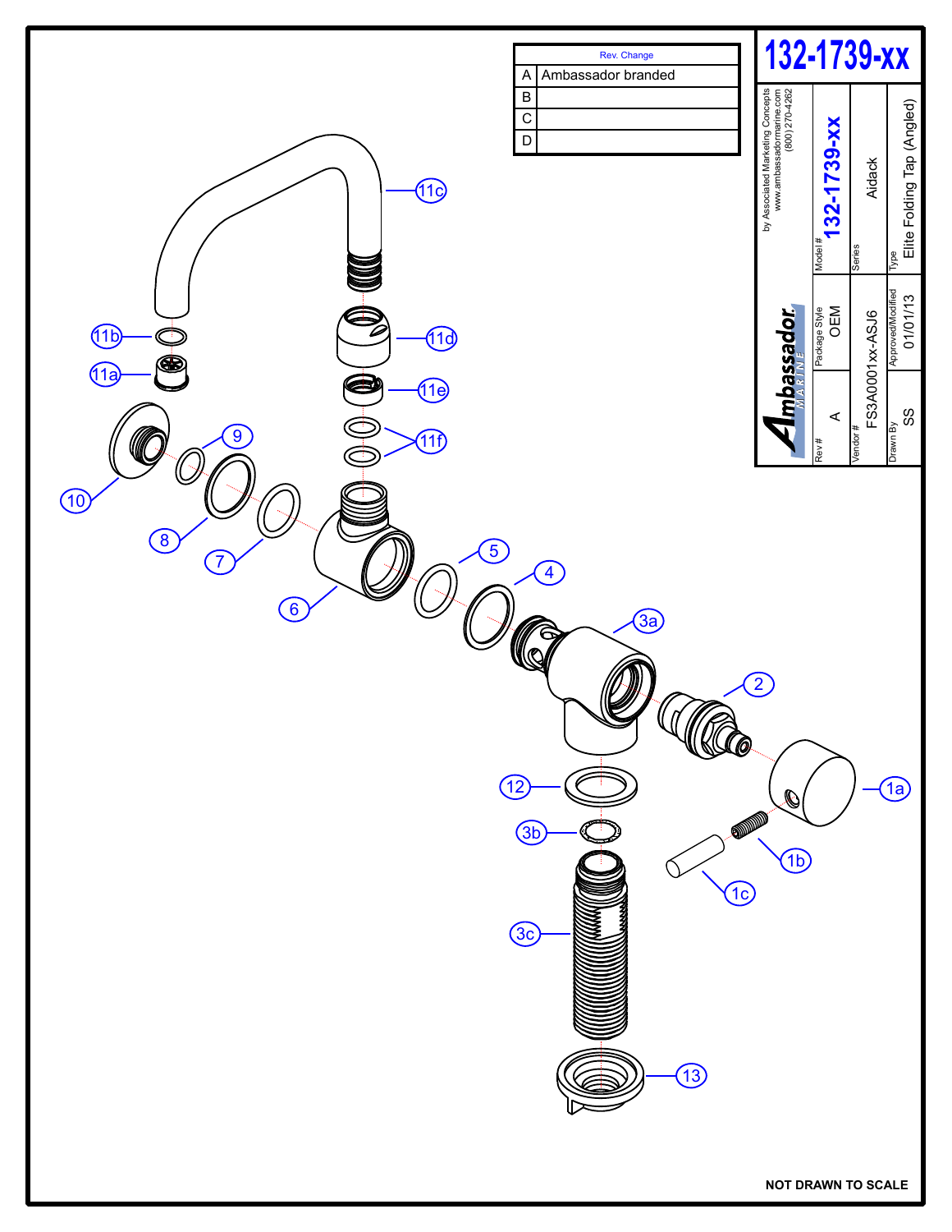